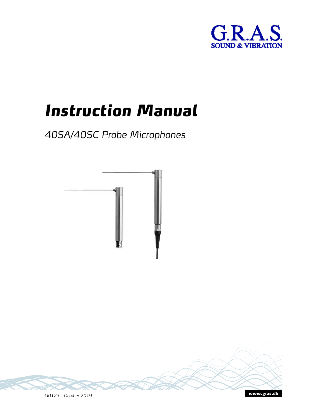

# *Instruction Manual*

*40SA/40SC Probe Microphones*



www.GRASacoustics.co<sup>m</sup> *LI0123 –* March *20*<sup>22</sup>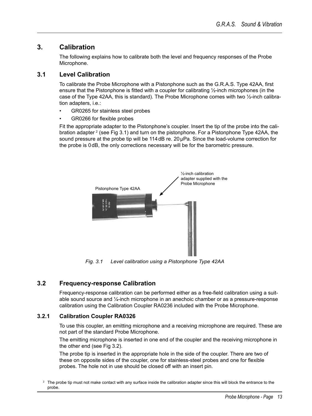#### **3. Calibration**

The following explains how to calibrate both the level and frequency responses of the Probe<sup>[1]</sup> Microphone.

#### **3.1 Level Calibration**

To calibrate the Probe Microphone with a pistonphone such as the GRAS Type 42AA, first ensure that the pistonphone is fitted with a coupler for calibrating  $\frac{1}{2}$  microphones (in the ase of the Type 42AA, this is standard). The Probe Microphone comes with two  $\frac{1}{2}$  calibration adapters, i.e.:

- GR0265 for stainless steel probes
- GR0266 for flexible probes

Fit the appropriate adapter to the Pistonphone's coupler. Insert the tip of the probe into the calibration adapter  $^2$  (see Fig 3.1) and turn on the pistonphone. For a Pistonphone Type 42AA, the sound pressure at the probe tip will be 114dB re.  $20 \mu Pa$ . Since the load-volume correction for the probe is 0dB, the only corrections necessary will be for the barometric pressure.



*Fig. 3.1 Level calibration using Pistonphone Type 42AA*

## **3.2 Frequency-response Calibration**

Frequency-response calibration can be performed either as a free-field calibration using a suitable sound source and ¼″ microphone in an anechoic chamber or as a pressure-response calibration using the Calibration Coupler RA0236 included with the Probe Microphone.

#### **3.2.1 Calibration Coupler RA0326**

To use this coupler, an emitting microphone and a receiving microphone are required. These are not part of the standard Probe Microphone.

The emitting microphone is inserted in one end of the coupler and the receiving microphone in the other end (see Fig 3.2).

The probe tip is inserted in the appropriate hole in the side of the coupler. There are two of these on opposite sides of the coupler, one for stainless-steel probes and one for flexible probes. The hole not in use should be closed off with an insert pin.

<sup>&</sup>lt;sup>2</sup> The probe tip must not make contact with any surface inside the calibration adapter since this will block the entrance to the probe.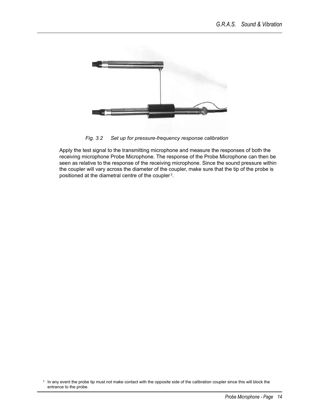

*Fig. 3.2 Set up for pressure-frequency response calibration*

Apply the test signal to the transmitting microphone and measure the responses of both the receiving microphone Probe Microphone. The response of the Probe Microphone can then be seen as relative to the response of the receiving microphone. Since the sound pressure within the coupler will vary across the diameter of the coupler, make sure that the tip of the probe is positioned at the diametral centre of the coupler<sup>3</sup>.

<sup>&</sup>lt;sup>3</sup> In any event the probe tip must not make contact with the opposite side of the calibration coupler since this will block the entrance to the probe.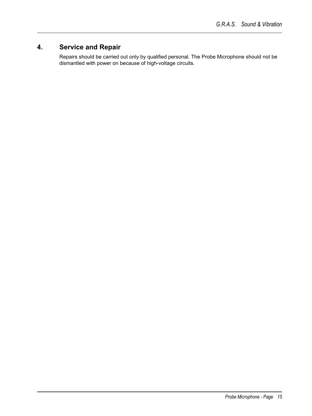# **4. Service and Repair**

Repairs should be carried out only by qualified personal. The Probe Microphone should not be dismantled with power on because of high-voltage circuits.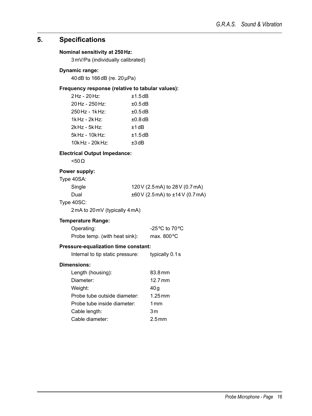## **5. Specifications**

#### **Nominal sensitivity at 250Hz:**

3mV/Pa (individually calibrated)

#### **Dynamic range:**

40dB to 166dB (re. 20µPa)

#### **Frequency response (relative to tabular values):**

| $2$ Hz - $20$ Hz:    | ±1.5dB       |
|----------------------|--------------|
| 20 Hz - 250 Hz:      | $\pm 0.5$ dB |
| $250$ Hz - 1kHz:     | $\pm 0.5$ dB |
| $1k$ Hz - $2k$ Hz:   | $\pm 0.8$ dB |
| $2k$ Hz - 5k Hz:     | $+1$ dB      |
| $5k$ Hz - 10 $k$ Hz: | ±1.5dB       |
| $10k$ Hz - $20k$ Hz: | $±3$ dB      |

#### **Electrical Output Impedance:**

<50Ω

## **Power supply:**

| Type 40SA: |                                            |
|------------|--------------------------------------------|
| Single     | 120 V (2.5 mA) to 28 V (0.7 mA)            |
| Dual       | $\pm 60$ V (2.5 mA) to $\pm 14$ V (0.7 mA) |
| — 1000     |                                            |

## Type 40SC:

2mA to 20mV (typically 4mA)

#### **Temperature Range:**

| Operating:                    | -25 $\rm{^o}$ C to 70 $\rm{^o}$ C |
|-------------------------------|-----------------------------------|
| Probe temp. (with heat sink): | max. $800^{\circ}$ C              |

#### **Pressure-equalization time constant:**

| Internal to tip static pressure: | typically 0.1s       |
|----------------------------------|----------------------|
| Dimensions:                      |                      |
| Length (housing):                | 83.8 mm              |
| Diameter:                        | 12.7 mm              |
| Weight:                          | 40 a                 |
| Probe tube outside diameter:     | $1.25 \,\mathrm{mm}$ |
| Probe tube inside diameter:      | 1 mm                 |
| Cable length:                    | 3m                   |
| Cable diameter:                  | 2.5 mm               |